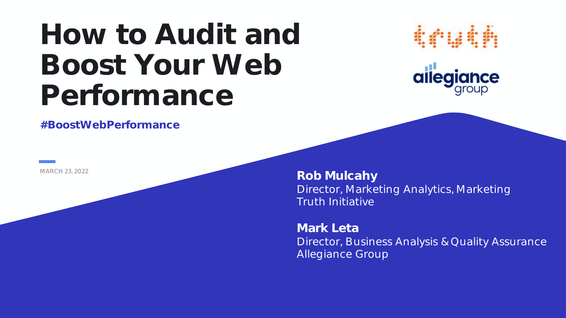# **How to Audit and Boost Your Web Performance**

**#BoostWebPerformance**

MARCH 23, 2022 **Rob Mulcahy** Director, Marketing Analytics, Marketing Truth Initiative

> **Mark Leta** Director, Business Analysis & Quality Assurance Allegiance Group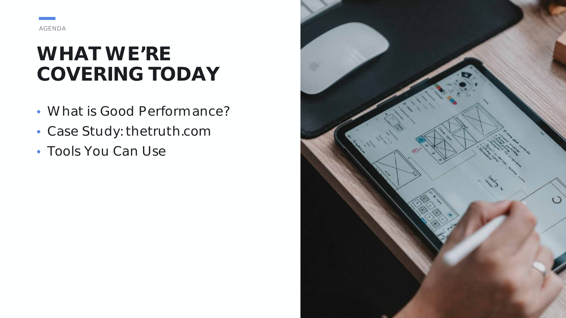

### WHAT WE'RE **COVERING TODAY**

- What is Good Performance?
- Case Study: thetruth.com
- Tools You Can Use

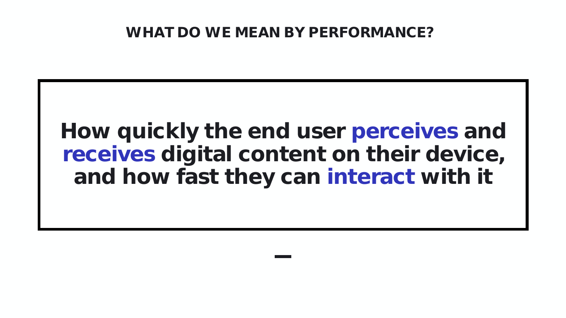#### **WHAT DO WE MEAN BY PERFORMANCE?**

### **How quickly the end user perceives and receives digital content on their device, and how fast they can interact with it**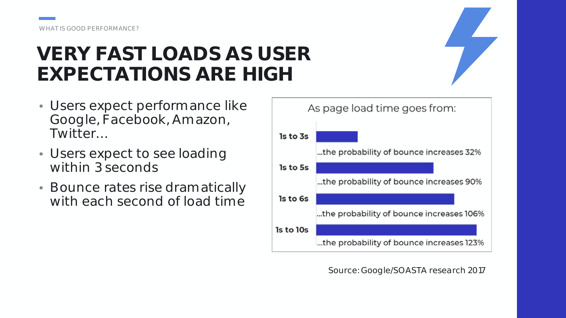### **VERY FAST LOADS AS USER EXPECTATIONS ARE HIGH**

- Users expect performance like Google, Facebook, Amazon, Twitter…
- Users expect to see loading within 3 seconds
- Bounce rates rise dramatically with each second of load time



*Source: Google/SOASTA research 2017*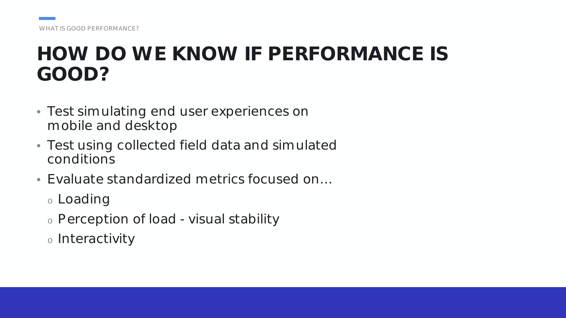### **HOW DO WE KNOW IF PERFORMANCE IS GOOD?**

- Test simulating end user experiences on mobile and desktop
- Test using collected field data and simulated conditions
- Evaluate standardized metrics focused on…
	- <sup>o</sup> Loading
	- <sup>o</sup> Perception of load visual stability
	- <sup>o</sup> Interactivity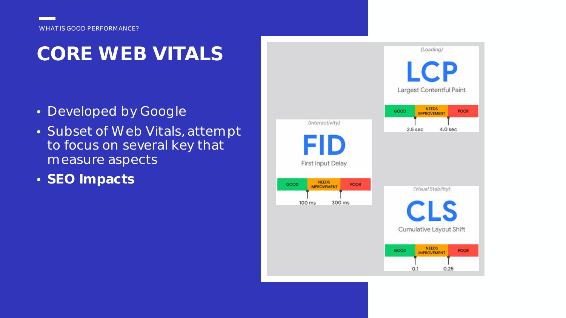### **CORE WEB VITALS**

- Developed by Google
- Subset of Web Vitals, attempt to focus on several key that measure aspects
- **SEO Impacts**

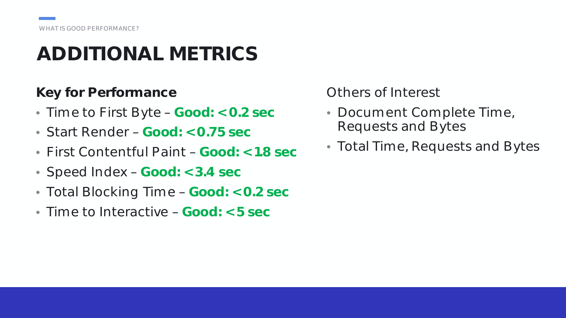### **ADDITIONAL METRICS**

#### **Key for Performance**

- Time to First Byte **Good: < 0.2 sec**
- Start Render **Good: < 0.75 sec**
- First Contentful Paint **Good: < 1.8 sec**
- Speed Index **Good: < 3.4 sec**
- Total Blocking Time **Good: < 0.2 sec**
- Time to Interactive **Good: < 5 sec**

Others of Interest

- Document Complete Time, Requests and Bytes
- Total Time, Requests and Bytes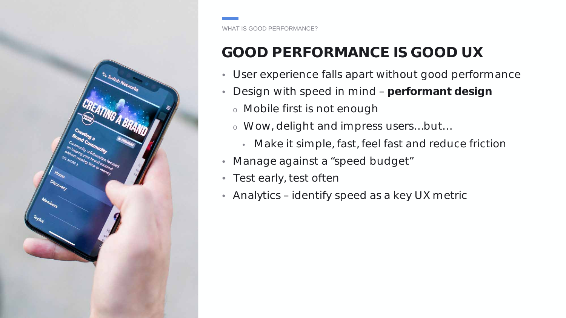

WHAT IS GOOD PERFORMANCE?

### **GOOD PERFORMANCE IS GOOD UX**

- User experience falls apart without good performance
- Design with speed in mind **performant design**
	- <sup>o</sup> Mobile first is not enough
	- <sup>o</sup> Wow, delight and impress users… but…
		- Make it simple, fast, feel fast and reduce friction
- Manage against a "speed budget"
- Test early, test often
- Analytics identify speed as a key UX metric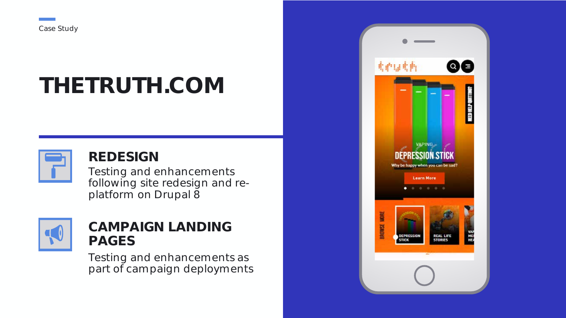

# **THETRUTH.COM**

#### **REDESIGN**

Testing and enhancements following site redesign and replatform on Drupal 8



#### **CAMPAIGN LANDING PAGES**

Testing and enhancements as part of campaign deployments

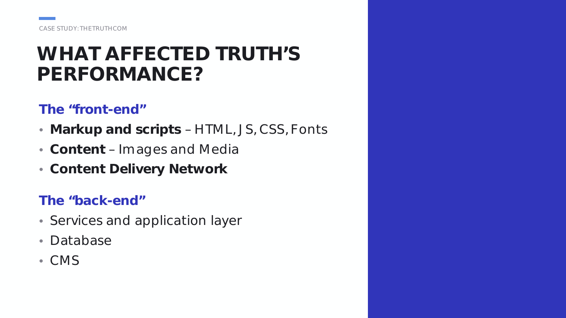### **WHAT AFFECTED TRUTH'S PERFORMANCE?**

#### **The "front-end"**

- **Markup and scripts**  HTML, JS, CSS, Fonts
- **Content** Images and Media
- **Content Delivery Network**

#### **The "back-end"**

- Services and application layer
- Database
- CMS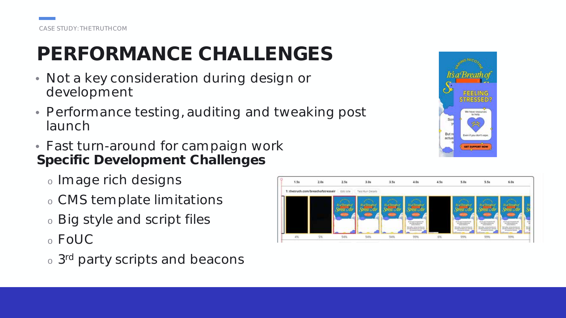# **PERFORMANCE CHALLENGES**

- Not a key consideration during design or development
- Performance testing, auditing and tweaking post launch
- Fast turn-around for campaign work **Specific Development Challenges**
	- <sup>o</sup> Image rich designs
	- <sup>o</sup> CMS template limitations
	- <sup>o</sup> Big style and script files
	- <sup>o</sup> FoUC
	- o 3<sup>rd</sup> party scripts and beacons



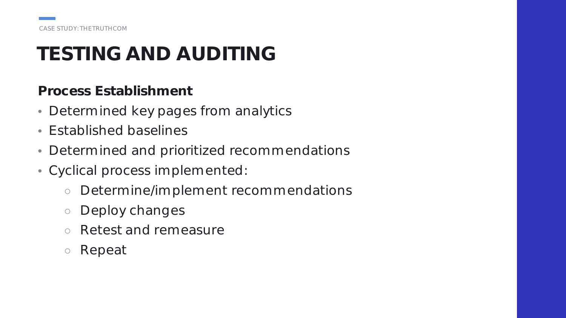# **TESTING AND AUDITING**

#### **Process Establishment**

- Determined key pages from analytics
- Established baselines
- Determined and prioritized recommendations
- Cyclical process implemented:
	- Determine/implement recommendations
	- Deploy changes
	- Retest and remeasure
	- Repeat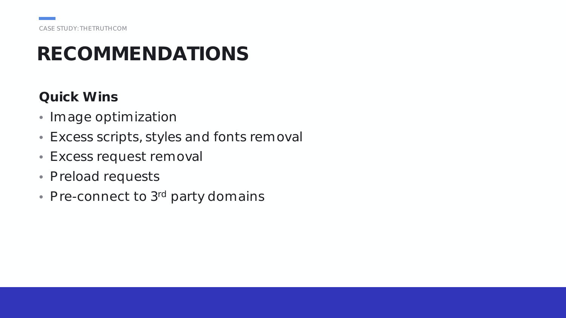### **RECOMMENDATIONS**

### **Quick Wins**

- Image optimization
- Excess scripts, styles and fonts removal
- Excess request removal
- Preload requests
- Pre-connect to 3<sup>rd</sup> party domains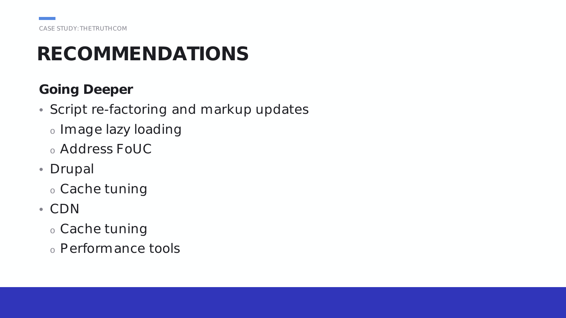### **RECOMMENDATIONS**

### **Going Deeper**

- Script re-factoring and markup updates
	- <sup>o</sup> Image lazy loading
	- <sup>o</sup> Address FoUC
- Drupal
	- <sup>o</sup> Cache tuning
- CDN
	- <sup>o</sup> Cache tuning
	- <sup>o</sup> Performance tools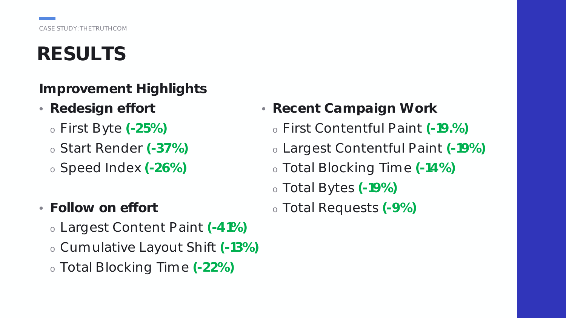## **RESULTS**

### **Improvement Highlights**

- *Redesign effort*
	- <sup>o</sup> First Byte **(-25%)**
	- <sup>o</sup> Start Render **(-37%)**
	- <sup>o</sup> Speed Index **(-26%)**
- *Follow on effort*
	- <sup>o</sup> Largest Content Paint **(-41%)**
	- <sup>o</sup> Cumulative Layout Shift **(-13%)**
	- <sup>o</sup> Total Blocking Time **(-22%)**

### • *Recent Campaign Work*

- <sup>o</sup> First Contentful Paint **(-19.%)**
- <sup>o</sup> Largest Contentful Paint **(-19%)**
- <sup>o</sup> Total Blocking Time **(-14%)**
- <sup>o</sup> Total Bytes **(-19%)**
- <sup>o</sup> Total Requests **(-9%)**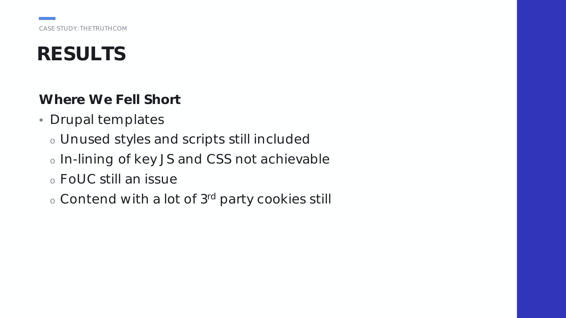### **RESULTS**

#### **Where We Fell Short**

- Drupal templates
	- <sup>o</sup> Unused styles and scripts still included
	- <sup>o</sup> In-lining of key JS and CSS not achievable
	- <sup>o</sup> FoUC still an issue
	- <sup>o</sup> Contend with a lot of 3rd party cookies still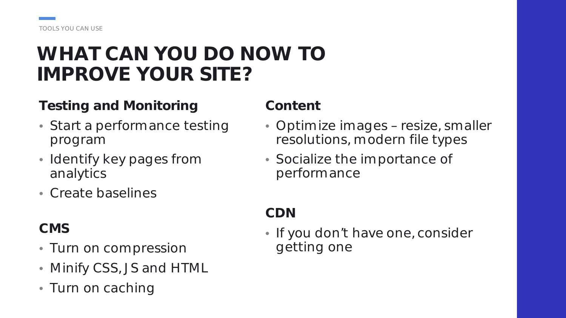### **WHAT CAN YOU DO NOW TO IMPROVE YOUR SITE?**

#### **Testing and Monitoring**

- Start a performance testing program
- Identify key pages from analytics
- Create baselines

### **CMS**

- Turn on compression
- Minify CSS, JS and HTML
- Turn on caching

#### **Content**

- Optimize images resize, smaller resolutions, modern file types
- Socialize the importance of performance

### **CDN**

• If you don't have one, consider getting one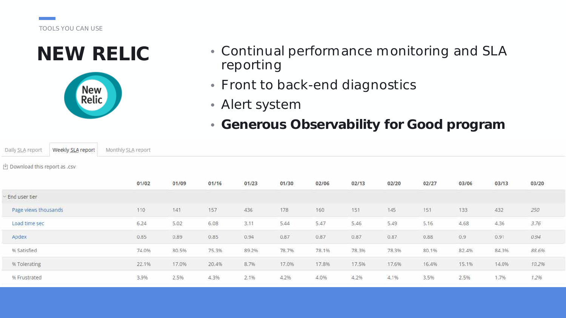



- Continual performance monitoring and SLA reporting
- Front to back-end diagnostics
- Alert system
- **Generous Observability for Good program**

Daily SLA report Weekly SLA report Monthly SLA report

内 Download this report as .csv

|                      | 01/02              | 01/09                     | 01/16                          | 01/23 | 01/30 | 02/06 | 02/13 | 02/20 | 02/27 | 03/06 | 03/13                      | 03/20 |
|----------------------|--------------------|---------------------------|--------------------------------|-------|-------|-------|-------|-------|-------|-------|----------------------------|-------|
| End user tier        |                    |                           |                                |       |       |       |       |       |       |       |                            |       |
| Page views thousands | 110                | 141                       | 157                            | 436   | 178   | 160   | 151   | 145   | 151   | 133   | 432                        | 250   |
| Load time sec        | 6.24               | 5.02                      | 6.08                           | 3.11  | 5,44  | 5.47  | 5,46  | 5.49  | 5.16  | 4.68  | 4.36                       | 3.76  |
| Apdex                | 0.85               | 0.89                      | 0.85                           | 0.94  | 0.87  | 0.87  | 0.87  | 0.87  | 0.88  | 0.9   | 0.91                       | 0.94  |
| % Satisfied          | 74.0%              | 80.5%                     | 75.3%                          | 89.2% | 78.7% | 78.1% | 78.3% | 78.3% | 80.1% | 82.4% | 84.3%                      | 88.6% |
| % Tolerating         | 202010-01<br>22.1% | <b>Sept 1995</b><br>17.0% | <b>Controller Co.</b><br>20.4% | 8.7%  | 17.0% | 17.8% | 17.5% | 17.6% | 16.4% | 15.1% | <b>CONTRACTOR</b><br>14.0% | 10.2% |
| % Frustrated         | 3,9%               | 2.5%                      | 4.3%                           | 2.1%  | 4.2%  | 4.0%  | 4.2%  | 4.1%  | 3.5%  | 2.5%  | 1,7%                       | 1.2%  |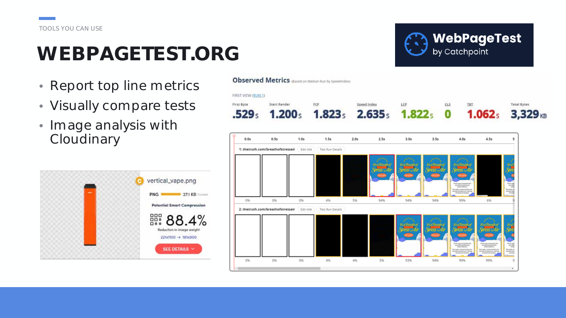### **WEBPAGETEST.ORG**

- Report top line metrics
- Visually compare tests
- Image analysis with Cloudinary



**Observed Metrics** (Based on Median Run by Speedindex) FIRST VIEW (RUN 1) First Byte Start Render **FCP** Speed Index LCP **Total Bytes** TBI 1.823<sub>s</sub> 2.635<sub>s</sub> 1.822<sub>s</sub> 0  $1.062 s$  $.529<sub>5</sub>$  $1.200<sub>s</sub>$  $3,329$ <sub>KB</sub>  $0.0s$  $0.5s$  $1.0s$  $1.5s$  $2.0s$  $2.5s$  $3.0s$  $3.5s$  $4.0s$ 4.5s 5 1: thetruth.com/breathofstressair Edit title Test Run Details



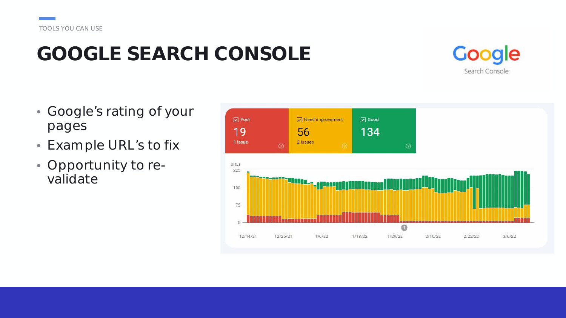

### **GOOGLE SEARCH CONSOLE**



- Google's rating of your pages
- Example URL's to fix
- Opportunity to revalidate

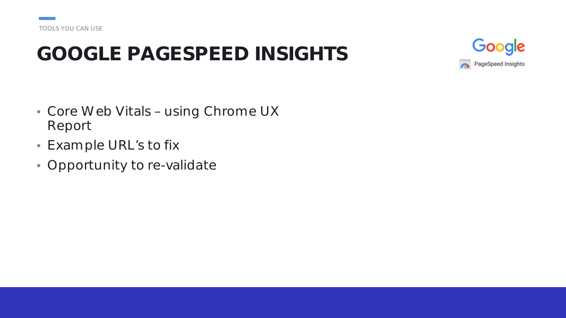

### **GOOGLE PAGESPEED INSIGHTS**



- Core Web Vitals using Chrome UX Report
- Example URL's to fix
- Opportunity to re-validate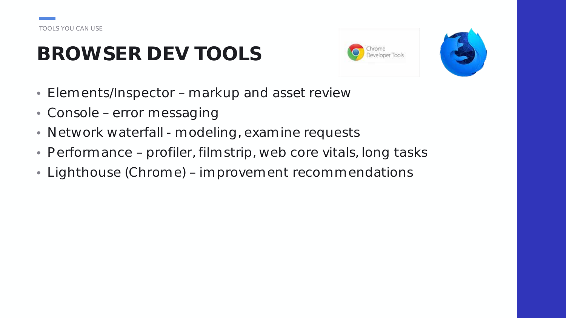

# **BROWSER DEV TOOLS**





- Elements/Inspector markup and asset review
- Console error messaging
- Network waterfall modeling, examine requests
- Performance profiler, filmstrip, web core vitals, long tasks
- Lighthouse (Chrome) improvement recommendations